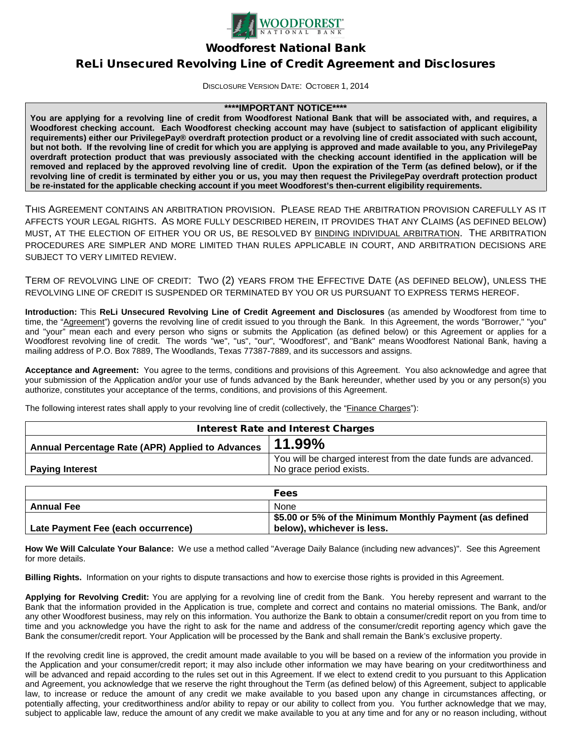

Woodforest National Bank

# ReLi Unsecured Revolving Line of Credit Agreement and Disclosures

DISCLOSURE VERSION DATE: OCTOBER 1, 2014

#### **\*\*\*\*IMPORTANT NOTICE\*\*\*\***

**You are applying for a revolving line of credit from Woodforest National Bank that will be associated with, and requires, a Woodforest checking account. Each Woodforest checking account may have (subject to satisfaction of applicant eligibility requirements) either our PrivilegePay® overdraft protection product or a revolving line of credit associated with such account, but not both. If the revolving line of credit for which you are applying is approved and made available to you, any PrivilegePay overdraft protection product that was previously associated with the checking account identified in the application will be removed and replaced by the approved revolving line of credit. Upon the expiration of the Term (as defined below), or if the revolving line of credit is terminated by either you or us, you may then request the PrivilegePay overdraft protection product be re-instated for the applicable checking account if you meet Woodforest's then-current eligibility requirements.**

THIS AGREEMENT CONTAINS AN ARBITRATION PROVISION. PLEASE READ THE ARBITRATION PROVISION CAREFULLY AS IT AFFECTS YOUR LEGAL RIGHTS. AS MORE FULLY DESCRIBED HEREIN, IT PROVIDES THAT ANY CLAIMS (AS DEFINED BELOW) MUST, AT THE ELECTION OF EITHER YOU OR US, BE RESOLVED BY BINDING INDIVIDUAL ARBITRATION. THE ARBITRATION PROCEDURES ARE SIMPLER AND MORE LIMITED THAN RULES APPLICABLE IN COURT, AND ARBITRATION DECISIONS ARE SUBJECT TO VERY LIMITED REVIEW.

TERM OF REVOLVING LINE OF CREDIT: TWO (2) YEARS FROM THE EFFECTIVE DATE (AS DEFINED BELOW), UNLESS THE REVOLVING LINE OF CREDIT IS SUSPENDED OR TERMINATED BY YOU OR US PURSUANT TO EXPRESS TERMS HEREOF.

**Introduction:** This **ReLi Unsecured Revolving Line of Credit Agreement and Disclosures** (as amended by Woodforest from time to time, the "Agreement") governs the revolving line of credit issued to you through the Bank. In this Agreement, the words "Borrower," "you" and "your" mean each and every person who signs or submits the Application (as defined below) or this Agreement or applies for a Woodforest revolving line of credit. The words "we", "us", "our", "Woodforest", and "Bank" means Woodforest National Bank, having a mailing address of P.O. Box 7889, The Woodlands, Texas 77387-7889, and its successors and assigns.

**Acceptance and Agreement:** You agree to the terms, conditions and provisions of this Agreement. You also acknowledge and agree that your submission of the Application and/or your use of funds advanced by the Bank hereunder, whether used by you or any person(s) you authorize, constitutes your acceptance of the terms, conditions, and provisions of this Agreement.

The following interest rates shall apply to your revolving line of credit (collectively, the "Finance Charges"):

| <b>Interest Rate and Interest Charges</b>        |                                                                                           |
|--------------------------------------------------|-------------------------------------------------------------------------------------------|
| Annual Percentage Rate (APR) Applied to Advances | 11.99%                                                                                    |
| <b>Paying Interest</b>                           | You will be charged interest from the date funds are advanced.<br>No grace period exists. |
|                                                  |                                                                                           |

|                                    | <b>Fees</b>                                             |
|------------------------------------|---------------------------------------------------------|
| <b>Annual Fee</b>                  | None                                                    |
|                                    | \$5.00 or 5% of the Minimum Monthly Payment (as defined |
| Late Payment Fee (each occurrence) | below), whichever is less.                              |

**How We Will Calculate Your Balance:** We use a method called "Average Daily Balance (including new advances)". See this Agreement for more details.

**Billing Rights.** Information on your rights to dispute transactions and how to exercise those rights is provided in this Agreement.

**Applying for Revolving Credit:** You are applying for a revolving line of credit from the Bank. You hereby represent and warrant to the Bank that the information provided in the Application is true, complete and correct and contains no material omissions. The Bank, and/or any other Woodforest business, may rely on this information. You authorize the Bank to obtain a consumer/credit report on you from time to time and you acknowledge you have the right to ask for the name and address of the consumer/credit reporting agency which gave the Bank the consumer/credit report. Your Application will be processed by the Bank and shall remain the Bank's exclusive property.

If the revolving credit line is approved, the credit amount made available to you will be based on a review of the information you provide in the Application and your consumer/credit report; it may also include other information we may have bearing on your creditworthiness and will be advanced and repaid according to the rules set out in this Agreement. If we elect to extend credit to you pursuant to this Application and Agreement, you acknowledge that we reserve the right throughout the Term (as defined below) of this Agreement, subject to applicable law, to increase or reduce the amount of any credit we make available to you based upon any change in circumstances affecting, or potentially affecting, your creditworthiness and/or ability to repay or our ability to collect from you. You further acknowledge that we may, subject to applicable law, reduce the amount of any credit we make available to you at any time and for any or no reason including, without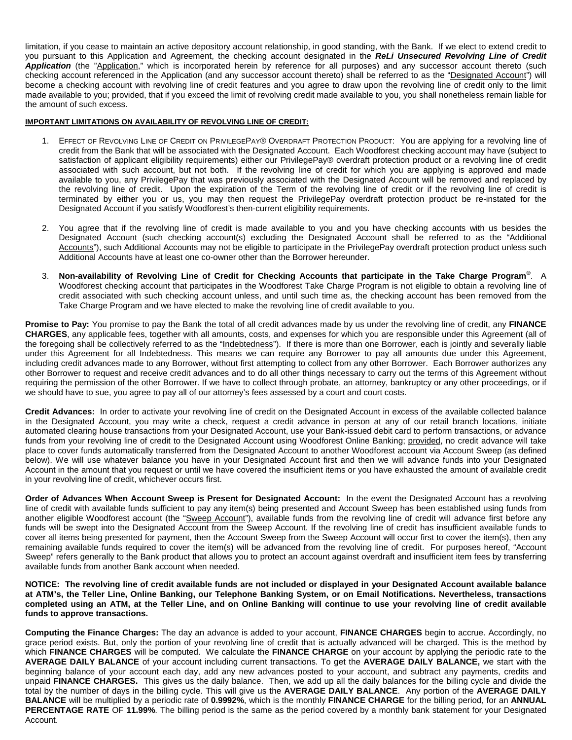limitation, if you cease to maintain an active depository account relationship, in good standing, with the Bank. If we elect to extend credit to you pursuant to this Application and Agreement, the checking account designated in the *ReLi Unsecured Revolving Line of Credit*  Application (the "Application," which is incorporated herein by reference for all purposes) and any successor account thereto (such checking account referenced in the Application (and any successor account thereto) shall be referred to as the "Designated Account") will become a checking account with revolving line of credit features and you agree to draw upon the revolving line of credit only to the limit made available to you; provided, that if you exceed the limit of revolving credit made available to you, you shall nonetheless remain liable for the amount of such excess.

#### **IMPORTANT LIMITATIONS ON AVAILABILITY OF REVOLVING LINE OF CREDIT:**

- 1. EFFECT OF REVOLVING LINE OF CREDIT ON PRIVILEGEPAY® OVERDRAFT PROTECTION PRODUCT: You are applying for a revolving line of credit from the Bank that will be associated with the Designated Account. Each Woodforest checking account may have (subject to satisfaction of applicant eligibility requirements) either our PrivilegePay® overdraft protection product or a revolving line of credit associated with such account, but not both. If the revolving line of credit for which you are applying is approved and made available to you, any PrivilegePay that was previously associated with the Designated Account will be removed and replaced by the revolving line of credit. Upon the expiration of the Term of the revolving line of credit or if the revolving line of credit is terminated by either you or us, you may then request the PrivilegePay overdraft protection product be re-instated for the Designated Account if you satisfy Woodforest's then-current eligibility requirements.
- 2. You agree that if the revolving line of credit is made available to you and you have checking accounts with us besides the Designated Account (such checking account(s) excluding the Designated Account shall be referred to as the "Additional Accounts"), such Additional Accounts may not be eligible to participate in the PrivilegePay overdraft protection product unless such Additional Accounts have at least one co-owner other than the Borrower hereunder.
- 3. **Non-availability of Revolving Line of Credit for Checking Accounts that participate in the Take Charge Program®** . A Woodforest checking account that participates in the Woodforest Take Charge Program is not eligible to obtain a revolving line of credit associated with such checking account unless, and until such time as, the checking account has been removed from the Take Charge Program and we have elected to make the revolving line of credit available to you.

**Promise to Pay:** You promise to pay the Bank the total of all credit advances made by us under the revolving line of credit, any **FINANCE CHARGES**, any applicable fees, together with all amounts, costs, and expenses for which you are responsible under this Agreement (all of the foregoing shall be collectively referred to as the "Indebtedness"). If there is more than one Borrower, each is jointly and severally liable under this Agreement for all Indebtedness. This means we can require any Borrower to pay all amounts due under this Agreement, including credit advances made to any Borrower, without first attempting to collect from any other Borrower. Each Borrower authorizes any other Borrower to request and receive credit advances and to do all other things necessary to carry out the terms of this Agreement without requiring the permission of the other Borrower. If we have to collect through probate, an attorney, bankruptcy or any other proceedings, or if we should have to sue, you agree to pay all of our attorney's fees assessed by a court and court costs.

**Credit Advances:** In order to activate your revolving line of credit on the Designated Account in excess of the available collected balance in the Designated Account, you may write a check, request a credit advance in person at any of our retail branch locations, initiate automated clearing house transactions from your Designated Account, use your Bank-issued debit card to perform transactions, or advance funds from your revolving line of credit to the Designated Account using Woodforest Online Banking; provided, no credit advance will take place to cover funds automatically transferred from the Designated Account to another Woodforest account via Account Sweep (as defined below). We will use whatever balance you have in your Designated Account first and then we will advance funds into your Designated Account in the amount that you request or until we have covered the insufficient items or you have exhausted the amount of available credit in your revolving line of credit, whichever occurs first.

**Order of Advances When Account Sweep is Present for Designated Account:** In the event the Designated Account has a revolving line of credit with available funds sufficient to pay any item(s) being presented and Account Sweep has been established using funds from another eligible Woodforest account (the "Sweep Account"), available funds from the revolving line of credit will advance first before any funds will be swept into the Designated Account from the Sweep Account. If the revolving line of credit has insufficient available funds to cover all items being presented for payment, then the Account Sweep from the Sweep Account will occur first to cover the item(s), then any remaining available funds required to cover the item(s) will be advanced from the revolving line of credit. For purposes hereof, "Account Sweep" refers generally to the Bank product that allows you to protect an account against overdraft and insufficient item fees by transferring available funds from another Bank account when needed.

**NOTICE: The revolving line of credit available funds are not included or displayed in your Designated Account available balance at ATM's, the Teller Line, Online Banking, our Telephone Banking System, or on Email Notifications. Nevertheless, transactions completed using an ATM, at the Teller Line, and on Online Banking will continue to use your revolving line of credit available funds to approve transactions.**

**Computing the Finance Charges:** The day an advance is added to your account, **FINANCE CHARGES** begin to accrue. Accordingly, no grace period exists. But, only the portion of your revolving line of credit that is actually advanced will be charged. This is the method by which **FINANCE CHARGES** will be computed. We calculate the **FINANCE CHARGE** on your account by applying the periodic rate to the **AVERAGE DAILY BALANCE** of your account including current transactions. To get the **AVERAGE DAILY BALANCE,** we start with the beginning balance of your account each day, add any new advances posted to your account, and subtract any payments, credits and unpaid **FINANCE CHARGES.** This gives us the daily balance. Then, we add up all the daily balances for the billing cycle and divide the total by the number of days in the billing cycle. This will give us the **AVERAGE DAILY BALANCE**. Any portion of the **AVERAGE DAILY BALANCE** will be multiplied by a periodic rate of **0.9992%**, which is the monthly **FINANCE CHARGE** for the billing period, for an **ANNUAL PERCENTAGE RATE** OF **11.99%**. The billing period is the same as the period covered by a monthly bank statement for your Designated Account.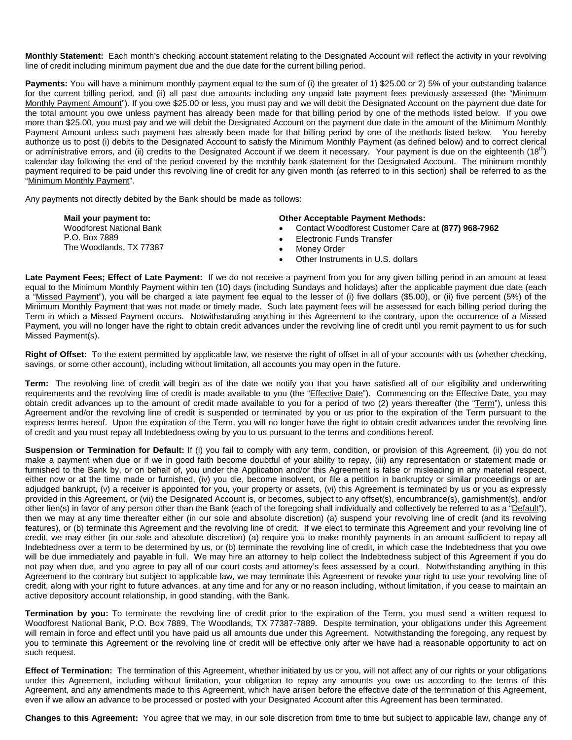**Monthly Statement:** Each month's checking account statement relating to the Designated Account will reflect the activity in your revolving line of credit including minimum payment due and the due date for the current billing period.

**Payments:** You will have a minimum monthly payment equal to the sum of (i) the greater of 1) \$25.00 or 2) 5% of your outstanding balance for the current billing period, and (ii) all past due amounts including any unpaid late payment fees previously assessed (the "Minimum Monthly Payment Amount"). If you owe \$25.00 or less, you must pay and we will debit the Designated Account on the payment due date for the total amount you owe unless payment has already been made for that billing period by one of the methods listed below. If you owe more than \$25.00, you must pay and we will debit the Designated Account on the payment due date in the amount of the Minimum Monthly Payment Amount unless such payment has already been made for that billing period by one of the methods listed below. You hereby authorize us to post (i) debits to the Designated Account to satisfy the Minimum Monthly Payment (as defined below) and to correct clerical or administrative errors, and (ii) credits to the Designated Account if we deem it necessary. Your payment is due on the eighteenth (18<sup>th</sup>) calendar day following the end of the period covered by the monthly bank statement for the Designated Account. The minimum monthly payment required to be paid under this revolving line of credit for any given month (as referred to in this section) shall be referred to as the "Minimum Monthly Payment".

Any payments not directly debited by the Bank should be made as follows:

| Mail your payment to:                                                       | <b>Other Acceptable Payment Methods:</b>                                                                                            |
|-----------------------------------------------------------------------------|-------------------------------------------------------------------------------------------------------------------------------------|
| <b>Woodforest National Bank</b><br>P.O. Box 7889<br>The Woodlands, TX 77387 | Contact Woodforest Customer Care at (877) 968-7962<br>Electronic Funds Transfer<br>Monev Order<br>Other Instruments in U.S. dollars |
|                                                                             | pument Fees, Effect of Late Deument: If you do not reasing a noumant from you for any siyon billing noriad in an amount of loost    |

**Late Payment Fees; Effect of Late Payment:** If we do not receive a payment from you for any given billing period in an amount at least equal to the Minimum Monthly Payment within ten (10) days (including Sundays and holidays) after the applicable payment due date (each a "Missed Payment"), you will be charged a late payment fee equal to the lesser of (i) five dollars (\$5.00), or (ii) five percent (5%) of the Minimum Monthly Payment that was not made or timely made. Such late payment fees will be assessed for each billing period during the Term in which a Missed Payment occurs. Notwithstanding anything in this Agreement to the contrary, upon the occurrence of a Missed Payment, you will no longer have the right to obtain credit advances under the revolving line of credit until you remit payment to us for such Missed Payment(s).

**Right of Offset:** To the extent permitted by applicable law, we reserve the right of offset in all of your accounts with us (whether checking, savings, or some other account), including without limitation, all accounts you may open in the future.

**Term:** The revolving line of credit will begin as of the date we notify you that you have satisfied all of our eligibility and underwriting requirements and the revolving line of credit is made available to you (the "Effective Date"). Commencing on the Effective Date, you may obtain credit advances up to the amount of credit made available to you for a period of two (2) years thereafter (the "Term"), unless this Agreement and/or the revolving line of credit is suspended or terminated by you or us prior to the expiration of the Term pursuant to the express terms hereof. Upon the expiration of the Term, you will no longer have the right to obtain credit advances under the revolving line of credit and you must repay all Indebtedness owing by you to us pursuant to the terms and conditions hereof.

**Suspension or Termination for Default:** If (i) you fail to comply with any term, condition, or provision of this Agreement, (ii) you do not make a payment when due or if we in good faith become doubtful of your ability to repay, (iii) any representation or statement made or furnished to the Bank by, or on behalf of, you under the Application and/or this Agreement is false or misleading in any material respect, either now or at the time made or furnished, (iv) you die, become insolvent, or file a petition in bankruptcy or similar proceedings or are adjudged bankrupt, (v) a receiver is appointed for you, your property or assets, (vi) this Agreement is terminated by us or you as expressly provided in this Agreement, or (vii) the Designated Account is, or becomes, subject to any offset(s), encumbrance(s), garnishment(s), and/or other lien(s) in favor of any person other than the Bank (each of the foregoing shall individually and collectively be referred to as a "Default"), then we may at any time thereafter either (in our sole and absolute discretion) (a) suspend your revolving line of credit (and its revolving features), or (b) terminate this Agreement and the revolving line of credit. If we elect to terminate this Agreement and your revolving line of credit, we may either (in our sole and absolute discretion) (a) require you to make monthly payments in an amount sufficient to repay all Indebtedness over a term to be determined by us, or (b) terminate the revolving line of credit, in which case the Indebtedness that you owe will be due immediately and payable in full. We may hire an attorney to help collect the Indebtedness subject of this Agreement if you do not pay when due, and you agree to pay all of our court costs and attorney's fees assessed by a court. Notwithstanding anything in this Agreement to the contrary but subject to applicable law, we may terminate this Agreement or revoke your right to use your revolving line of credit, along with your right to future advances, at any time and for any or no reason including, without limitation, if you cease to maintain an active depository account relationship, in good standing, with the Bank.

**Termination by you:** To terminate the revolving line of credit prior to the expiration of the Term, you must send a written request to Woodforest National Bank, P.O. Box 7889, The Woodlands, TX 77387-7889. Despite termination, your obligations under this Agreement will remain in force and effect until you have paid us all amounts due under this Agreement. Notwithstanding the foregoing, any request by you to terminate this Agreement or the revolving line of credit will be effective only after we have had a reasonable opportunity to act on such request.

**Effect of Termination:** The termination of this Agreement, whether initiated by us or you, will not affect any of our rights or your obligations under this Agreement, including without limitation, your obligation to repay any amounts you owe us according to the terms of this Agreement, and any amendments made to this Agreement, which have arisen before the effective date of the termination of this Agreement, even if we allow an advance to be processed or posted with your Designated Account after this Agreement has been terminated.

**Changes to this Agreement:** You agree that we may, in our sole discretion from time to time but subject to applicable law, change any of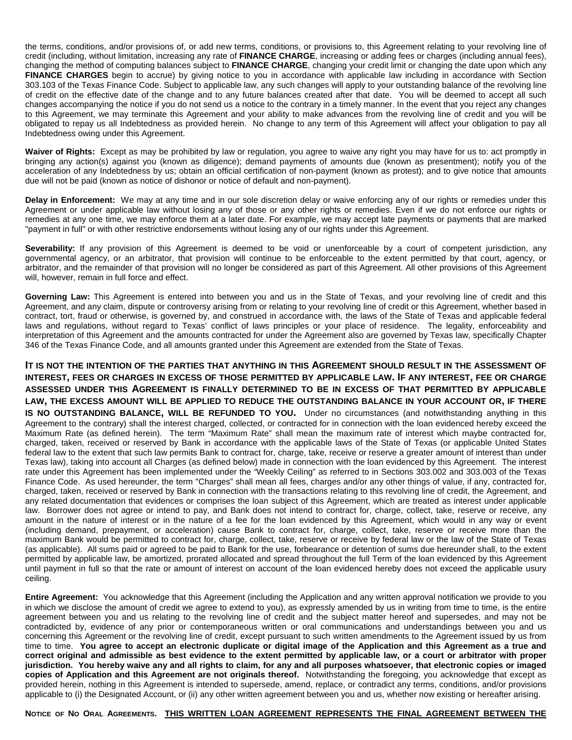the terms, conditions, and/or provisions of, or add new terms, conditions, or provisions to, this Agreement relating to your revolving line of credit (including, without limitation, increasing any rate of **FINANCE CHARGE**, increasing or adding fees or charges (including annual fees), changing the method of computing balances subject to **FINANCE CHARGE**, changing your credit limit or changing the date upon which any **FINANCE CHARGES** begin to accrue) by giving notice to you in accordance with applicable law including in accordance with Section 303.103 of the Texas Finance Code. Subject to applicable law, any such changes will apply to your outstanding balance of the revolving line of credit on the effective date of the change and to any future balances created after that date. You will be deemed to accept all such changes accompanying the notice if you do not send us a notice to the contrary in a timely manner. In the event that you reject any changes to this Agreement, we may terminate this Agreement and your ability to make advances from the revolving line of credit and you will be obligated to repay us all Indebtedness as provided herein. No change to any term of this Agreement will affect your obligation to pay all Indebtedness owing under this Agreement.

**Waiver of Rights:** Except as may be prohibited by law or regulation, you agree to waive any right you may have for us to: act promptly in bringing any action(s) against you (known as diligence); demand payments of amounts due (known as presentment); notify you of the acceleration of any Indebtedness by us; obtain an official certification of non-payment (known as protest); and to give notice that amounts due will not be paid (known as notice of dishonor or notice of default and non-payment).

**Delay in Enforcement:** We may at any time and in our sole discretion delay or waive enforcing any of our rights or remedies under this Agreement or under applicable law without losing any of those or any other rights or remedies. Even if we do not enforce our rights or remedies at any one time, we may enforce them at a later date. For example, we may accept late payments or payments that are marked "payment in full" or with other restrictive endorsements without losing any of our rights under this Agreement.

Severability: If any provision of this Agreement is deemed to be void or unenforceable by a court of competent jurisdiction, any governmental agency, or an arbitrator, that provision will continue to be enforceable to the extent permitted by that court, agency, or arbitrator, and the remainder of that provision will no longer be considered as part of this Agreement. All other provisions of this Agreement will, however, remain in full force and effect.

**Governing Law:** This Agreement is entered into between you and us in the State of Texas, and your revolving line of credit and this Agreement, and any claim, dispute or controversy arising from or relating to your revolving line of credit or this Agreement, whether based in contract, tort, fraud or otherwise, is governed by, and construed in accordance with, the laws of the State of Texas and applicable federal laws and regulations, without regard to Texas' conflict of laws principles or your place of residence. The legality, enforceability and interpretation of this Agreement and the amounts contracted for under the Agreement also are governed by Texas law, specifically Chapter 346 of the Texas Finance Code, and all amounts granted under this Agreement are extended from the State of Texas.

**IT IS NOT THE INTENTION OF THE PARTIES THAT ANYTHING IN THIS AGREEMENT SHOULD RESULT IN THE ASSESSMENT OF INTEREST, FEES OR CHARGES IN EXCESS OF THOSE PERMITTED BY APPLICABLE LAW. IF ANY INTEREST, FEE OR CHARGE ASSESSED UNDER THIS AGREEMENT IS FINALLY DETERMINED TO BE IN EXCESS OF THAT PERMITTED BY APPLICABLE LAW, THE EXCESS AMOUNT WILL BE APPLIED TO REDUCE THE OUTSTANDING BALANCE IN YOUR ACCOUNT OR, IF THERE IS NO OUTSTANDING BALANCE, WILL BE REFUNDED TO YOU.** Under no circumstances (and notwithstanding anything in this Agreement to the contrary) shall the interest charged, collected, or contracted for in connection with the loan evidenced hereby exceed the Maximum Rate (as defined herein). The term "Maximum Rate" shall mean the maximum rate of interest which maybe contracted for, charged, taken, received or reserved by Bank in accordance with the applicable laws of the State of Texas (or applicable United States federal law to the extent that such law permits Bank to contract for, charge, take, receive or reserve a greater amount of interest than under Texas law), taking into account all Charges (as defined below) made in connection with the loan evidenced by this Agreement. The interest rate under this Agreement has been implemented under the "Weekly Ceiling" as referred to in Sections 303.002 and 303.003 of the Texas Finance Code. As used hereunder, the term "Charges" shall mean all fees, charges and/or any other things of value, if any, contracted for, charged, taken, received or reserved by Bank in connection with the transactions relating to this revolving line of credit, the Agreement, and any related documentation that evidences or comprises the loan subject of this Agreement, which are treated as interest under applicable law. Borrower does not agree or intend to pay, and Bank does not intend to contract for, charge, collect, take, reserve or receive, any amount in the nature of interest or in the nature of a fee for the loan evidenced by this Agreement, which would in any way or event (including demand, prepayment, or acceleration) cause Bank to contract for, charge, collect, take, reserve or receive more than the maximum Bank would be permitted to contract for, charge, collect, take, reserve or receive by federal law or the law of the State of Texas (as applicable). All sums paid or agreed to be paid to Bank for the use, forbearance or detention of sums due hereunder shall, to the extent permitted by applicable law, be amortized, prorated allocated and spread throughout the full Term of the loan evidenced by this Agreement until payment in full so that the rate or amount of interest on account of the loan evidenced hereby does not exceed the applicable usury ceiling.

**Entire Agreement:** You acknowledge that this Agreement (including the Application and any written approval notification we provide to you in which we disclose the amount of credit we agree to extend to you), as expressly amended by us in writing from time to time, is the entire agreement between you and us relating to the revolving line of credit and the subject matter hereof and supersedes, and may not be contradicted by, evidence of any prior or contemporaneous written or oral communications and understandings between you and us concerning this Agreement or the revolving line of credit, except pursuant to such written amendments to the Agreement issued by us from time to time. **You agree to accept an electronic duplicate or digital image of the Application and this Agreement as a true and correct original and admissible as best evidence to the extent permitted by applicable law, or a court or arbitrator with proper jurisdiction. You hereby waive any and all rights to claim, for any and all purposes whatsoever, that electronic copies or imaged copies of Application and this Agreement are not originals thereof.** Notwithstanding the foregoing, you acknowledge that except as provided herein, nothing in this Agreement is intended to supersede, amend, replace, or contradict any terms, conditions, and/or provisions applicable to (i) the Designated Account, or (ii) any other written agreement between you and us, whether now existing or hereafter arising.

**NOTICE OF NO ORAL AGREEMENTS. THIS WRITTEN LOAN AGREEMENT REPRESENTS THE FINAL AGREEMENT BETWEEN THE**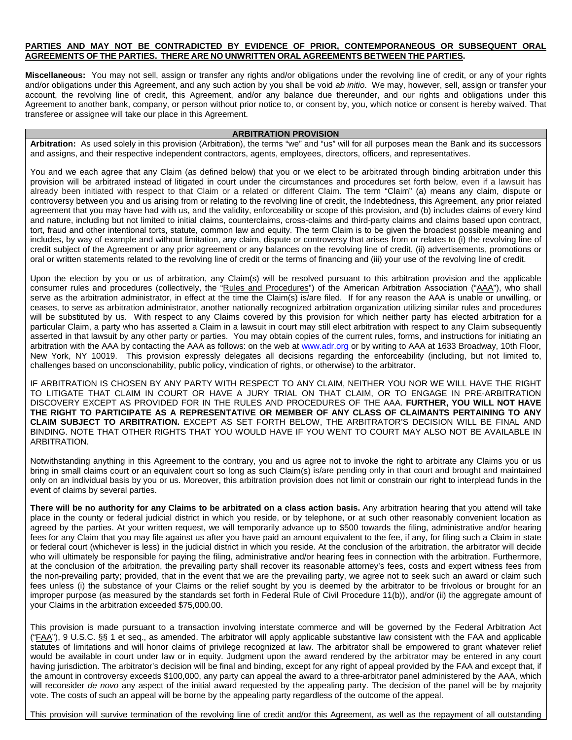#### **PARTIES AND MAY NOT BE CONTRADICTED BY EVIDENCE OF PRIOR, CONTEMPORANEOUS OR SUBSEQUENT ORAL AGREEMENTS OF THE PARTIES. THERE ARE NO UNWRITTEN ORAL AGREEMENTS BETWEEN THE PARTIES.**

**Miscellaneous:** You may not sell, assign or transfer any rights and/or obligations under the revolving line of credit, or any of your rights and/or obligations under this Agreement, and any such action by you shall be void *ab initio*. We may, however, sell, assign or transfer your account, the revolving line of credit, this Agreement, and/or any balance due thereunder, and our rights and obligations under this Agreement to another bank, company, or person without prior notice to, or consent by, you, which notice or consent is hereby waived. That transferee or assignee will take our place in this Agreement.

### **ARBITRATION PROVISION**

**Arbitration:** As used solely in this provision (Arbitration), the terms "we" and "us" will for all purposes mean the Bank and its successors and assigns, and their respective independent contractors, agents, employees, directors, officers, and representatives.

You and we each agree that any Claim (as defined below) that you or we elect to be arbitrated through binding arbitration under this provision will be arbitrated instead of litigated in court under the circumstances and procedures set forth below, even if a lawsuit has already been initiated with respect to that Claim or a related or different Claim. The term "Claim" (a) means any claim, dispute or controversy between you and us arising from or relating to the revolving line of credit, the Indebtedness, this Agreement, any prior related agreement that you may have had with us, and the validity, enforceability or scope of this provision, and (b) includes claims of every kind and nature, including but not limited to initial claims, counterclaims, cross-claims and third-party claims and claims based upon contract, tort, fraud and other intentional torts, statute, common law and equity. The term Claim is to be given the broadest possible meaning and includes, by way of example and without limitation, any claim, dispute or controversy that arises from or relates to (i) the revolving line of credit subject of the Agreement or any prior agreement or any balances on the revolving line of credit, (ii) advertisements, promotions or oral or written statements related to the revolving line of credit or the terms of financing and (iii) your use of the revolving line of credit.

Upon the election by you or us of arbitration, any Claim(s) will be resolved pursuant to this arbitration provision and the applicable consumer rules and procedures (collectively, the "Rules and Procedures") of the American Arbitration Association ("AAA"), who shall serve as the arbitration administrator, in effect at the time the Claim(s) is/are filed. If for any reason the AAA is unable or unwilling, or ceases, to serve as arbitration administrator, another nationally recognized arbitration organization utilizing similar rules and procedures will be substituted by us. With respect to any Claims covered by this provision for which neither party has elected arbitration for a particular Claim, a party who has asserted a Claim in a lawsuit in court may still elect arbitration with respect to any Claim subsequently asserted in that lawsuit by any other party or parties. You may obtain copies of the current rules, forms, and instructions for initiating an arbitration with the AAA by contacting the AAA as follows: on the web at www.adr.org or by writing to AAA at 1633 Broadway, 10th Floor, New York, NY 10019. This provision expressly delegates all decisions regarding the enforceability (including, but not limited to, challenges based on unconscionability, public policy, vindication of rights, or otherwise) to the arbitrator.

IF ARBITRATION IS CHOSEN BY ANY PARTY WITH RESPECT TO ANY CLAIM, NEITHER YOU NOR WE WILL HAVE THE RIGHT TO LITIGATE THAT CLAIM IN COURT OR HAVE A JURY TRIAL ON THAT CLAIM, OR TO ENGAGE IN PRE-ARBITRATION DISCOVERY EXCEPT AS PROVIDED FOR IN THE RULES AND PROCEDURES OF THE AAA. **FURTHER, YOU WILL NOT HAVE THE RIGHT TO PARTICIPATE AS A REPRESENTATIVE OR MEMBER OF ANY CLASS OF CLAIMANTS PERTAINING TO ANY CLAIM SUBJECT TO ARBITRATION.** EXCEPT AS SET FORTH BELOW, THE ARBITRATOR'S DECISION WILL BE FINAL AND BINDING. NOTE THAT OTHER RIGHTS THAT YOU WOULD HAVE IF YOU WENT TO COURT MAY ALSO NOT BE AVAILABLE IN ARBITRATION.

Notwithstanding anything in this Agreement to the contrary, you and us agree not to invoke the right to arbitrate any Claims you or us bring in small claims court or an equivalent court so long as such Claim(s) is/are pending only in that court and brought and maintained only on an individual basis by you or us. Moreover, this arbitration provision does not limit or constrain our right to interplead funds in the event of claims by several parties.

There will be no authority for any Claims to be arbitrated on a class action basis. Any arbitration hearing that you attend will take place in the county or federal judicial district in which you reside, or by telephone, or at such other reasonably convenient location as agreed by the parties. At your written request, we will temporarily advance up to \$500 towards the filing, administrative and/or hearing fees for any Claim that you may file against us after you have paid an amount equivalent to the fee, if any, for filing such a Claim in state or federal court (whichever is less) in the judicial district in which you reside. At the conclusion of the arbitration, the arbitrator will decide who will ultimately be responsible for paying the filing, administrative and/or hearing fees in connection with the arbitration. Furthermore, at the conclusion of the arbitration, the prevailing party shall recover its reasonable attorney's fees, costs and expert witness fees from the non-prevailing party; provided, that in the event that we are the prevailing party, we agree not to seek such an award or claim such fees unless (i) the substance of your Claims or the relief sought by you is deemed by the arbitrator to be frivolous or brought for an improper purpose (as measured by the standards set forth in Federal Rule of Civil Procedure 11(b)), and/or (ii) the aggregate amount of your Claims in the arbitration exceeded \$75,000.00.

This provision is made pursuant to a transaction involving interstate commerce and will be governed by the Federal Arbitration Act ("FAA"), 9 U.S.C. §§ 1 et seq., as amended. The arbitrator will apply applicable substantive law consistent with the FAA and applicable statutes of limitations and will honor claims of privilege recognized at law. The arbitrator shall be empowered to grant whatever relief would be available in court under law or in equity. Judgment upon the award rendered by the arbitrator may be entered in any court having jurisdiction. The arbitrator's decision will be final and binding, except for any right of appeal provided by the FAA and except that, if the amount in controversy exceeds \$100,000, any party can appeal the award to a three-arbitrator panel administered by the AAA, which will reconsider *de novo* any aspect of the initial award requested by the appealing party. The decision of the panel will be by majority vote. The costs of such an appeal will be borne by the appealing party regardless of the outcome of the appeal.

This provision will survive termination of the revolving line of credit and/or this Agreement, as well as the repayment of all outstanding